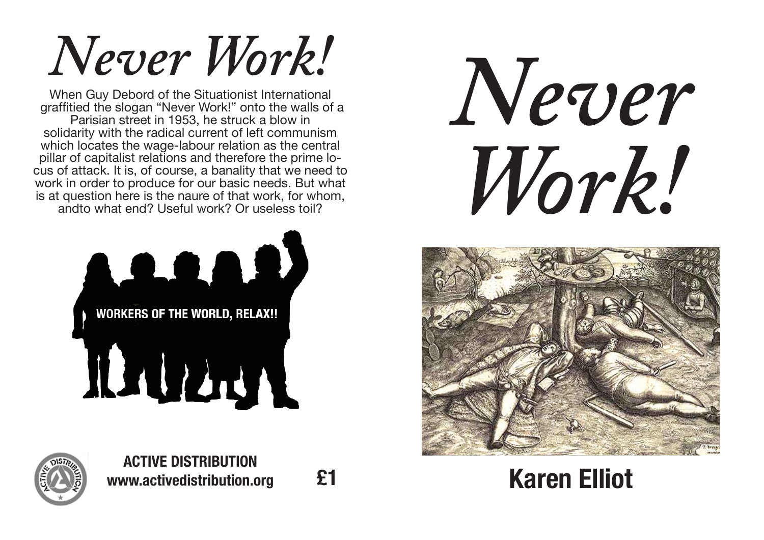## *Never Work!*

When Guy Debord of the Situationist International graf fi tied the slogan "Never Work!" onto the walls of a Parisian street in 1953, he struck a blow in solidarity with the radical current of left communism which locates the wage-labour relation as the central pillar of capitalist relations and therefore the prime locus of attack. It is, of course, a banality that we need to work in order to produce for our basic needs. But what is at question here is the naure of that work, for whom, andto what end? Useful work? Or useless toil?





**ACTIVE DISTRIBUTION www.activedistribution.org £1** *Never Work!*



## **Karen Elliot**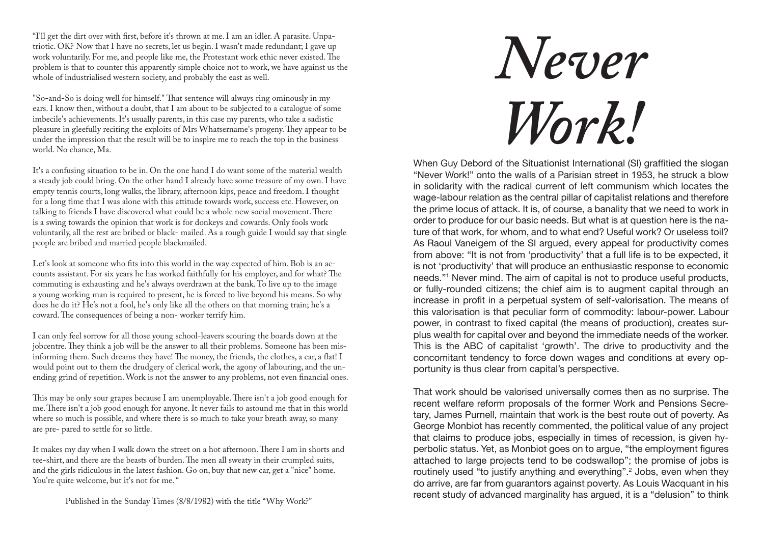"I'll get the dirt over with first, before it's thrown at me. I am an idler. A parasite. Unpatriotic. OK? Now that I have no secrets, let us begin. I wasn't made redundant; I gave up work voluntarily. For me, and people like me, the Protestant work ethic never existed. The problem is that to counter this apparently simple choice not to work, we have against us the whole of industrialised western society, and probably the east as well.

"So-and-So is doing well for himself." That sentence will always ring ominously in my ears. I know then, without a doubt, that I am about to be subjected to a catalogue of some imbecile's achievements. It's usually parents, in this case my parents, who take a sadistic pleasure in gleefully reciting the exploits of Mrs Whatsername's progeny. They appear to be under the impression that the result will be to inspire me to reach the top in the business world. No chance, Ma.

It's a confusing situation to be in. On the one hand I do want some of the material wealth a steady job could bring. On the other hand I already have some treasure of my own. I have empty tennis courts, long walks, the library, afternoon kips, peace and freedom. I thought for a long time that I was alone with this attitude towards work, success etc. However, on talking to friends I have discovered what could be a whole new social movement. There is a swing towards the opinion that work is for donkeys and cowards. Only fools work voluntarily, all the rest are bribed or black- mailed. As a rough guide I would say that single people are bribed and married people blackmailed.

Let's look at someone who fits into this world in the way expected of him. Bob is an accounts assistant. For six years he has worked faithfully for his employer, and for what? The commuting is exhausting and he's always overdrawn at the bank. To live up to the image a young working man is required to present, he is forced to live beyond his means. So why does he do it? He's not a fool, he's only like all the others on that morning train; he's a coward. The consequences of being a non- worker terrify him.

I can only feel sorrow for all those young school-leavers scouring the boards down at the jobcentre. They think a job will be the answer to all their problems. Someone has been misinforming them. Such dreams they have! The money, the friends, the clothes, a car, a flat! I would point out to them the drudgery of clerical work, the agony of labouring, and the unending grind of repetition. Work is not the answer to any problems, not even financial ones.

This may be only sour grapes because I am unemployable. There isn't a job good enough for me. There isn't a job good enough for anyone. It never fails to astound me that in this world where so much is possible, and where there is so much to take your breath away, so many are pre- pared to settle for so little.

It makes my day when I walk down the street on a hot afternoon. There I am in shorts and tee-shirt, and there are the beasts of burden. The men all sweaty in their crumpled suits, and the girls ridiculous in the latest fashion. Go on, buy that new car, get a "nice" home. You're quite welcome, but it's not for me."

# *Never Work!*

When Guy Debord of the Situationist International (SI) graf fi tied the slogan "Never Work!" onto the walls of a Parisian street in 1953, he struck a blow in solidarity with the radical current of left communism which locates the wage-labour relation as the central pillar of capitalist relations and therefore the prime locus of attack. It is, of course, a banality that we need to work in order to produce for our basic needs. But what is at question here is the nature of that work, for whom, and to what end? Useful work? Or useless toil? As Raoul Vaneigem of the SI argued, every appeal for productivity comes from above: "It is not from 'productivity' that a full life is to be expected, it is not 'productivity' that will produce an enthusiastic response to economic needs."1 Never mind. The aim of capital is not to produce useful products, or fully-rounded citizens; the chief aim is to augment capital through an increase in profit in a perpetual system of self-valorisation. The means of this valorisation is that peculiar form of commodity: labour-power. Labour power, in contrast to fixed capital (the means of production), creates surplus wealth for capital over and beyond the immediate needs of the worker. This is the ABC of capitalist 'growth'. The drive to productivity and the concomitant tendency to force down wages and conditions at every opportunity is thus clear from capital's perspective.

That work should be valorised universally comes then as no surprise. The recent welfare reform proposals of the former Work and Pensions Secretary, James Purnell, maintain that work is the best route out of poverty. As George Monbiot has recently commented, the political value of any project that claims to produce jobs, especially in times of recession, is given hyperbolic status. Yet, as Monbiot goes on to argue, "the employment figures attached to large projects tend to be codswallop"; the promise of jobs is routinely used "to justify anything and everything".2 Jobs, even when they do arrive, are far from guarantors against poverty. As Louis Wacquant in his recent study of advanced marginality has argued, it is a "delusion" to think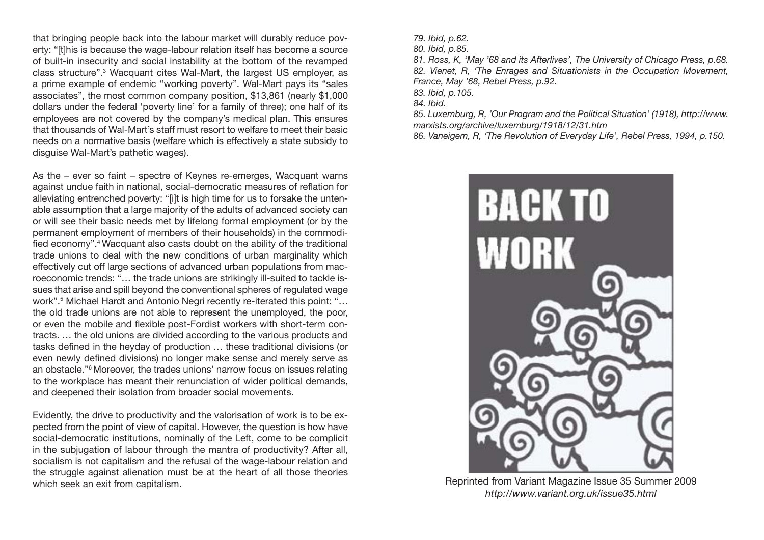that bringing people back into the labour market will durably reduce poverty: "[t]his is because the wage-labour relation itself has become a source of built-in insecurity and social instability at the bottom of the revamped class structure".3 Wacquant cites Wal-Mart, the largest US employer, as a prime example of endemic "working poverty". Wal-Mart pays its "sales associates", the most common company position, \$13,861 (nearly \$1,000 dollars under the federal 'poverty line' for a family of three); one half of its employees are not covered by the company's medical plan. This ensures that thousands of Wal-Mart's staff must resort to welfare to meet their basic needs on a normative basis (welfare which is effectively a state subsidy to disguise Wal-Mart's pathetic wages).

As the – ever so faint – spectre of Keynes re-emerges, Wacquant warns against undue faith in national, social-democratic measures of re fl ation for alleviating entrenched poverty: "[i]t is high time for us to forsake the untenable assumption that a large majority of the adults of advanced society can or will see their basic needs met by lifelong formal employment (or by the permanent employment of members of their households) in the commodified economy".<sup>4</sup> Wacquant also casts doubt on the ability of the traditional trade unions to deal with the new conditions of urban marginality which effectively cut off large sections of advanced urban populations from macroeconomic trends: "… the trade unions are strikingly ill-suited to tackle issues that arise and spill beyond the conventional spheres of regulated wage work".<sup>5</sup> Michael Hardt and Antonio Negri recently re-iterated this point: "... the old trade unions are not able to represent the unemployed, the poor, or even the mobile and flexible post-Fordist workers with short-term contracts. … the old unions are divided according to the various products and tasks defined in the heyday of production … these traditional divisions (or even newly defined divisions) no longer make sense and merely serve as an obstacle."6 Moreover, the trades unions' narrow focus on issues relating to the workplace has meant their renunciation of wider political demands, and deepened their isolation from broader social movements.

Evidently, the drive to productivity and the valorisation of work is to be expected from the point of view of capital. However, the question is how have social-democratic institutions, nominally of the Left, come to be complicit in the subjugation of labour through the mantra of productivity? After all, socialism is not capitalism and the refusal of the wage-labour relation and the struggle against alienation must be at the heart of all those theories which seek an exit from capitalism.

*79. Ibid, p.62.*

*80. Ibid, p.85.*

*81. Ross, K, 'May '68 and its Afterlives', The University of Chicago Press, p.68. 82. Vienet, R, 'The Enrages and Situationists in the Occupation Movement, France, May '68, Rebel Press, p.92.*

*83. Ibid, p.105.* 

*84. Ibid.*

*85. Luxemburg, R, 'Our Program and the Political Situation' (1918), http://www. marxists.org/archive/luxemburg/1918/12/31.htm*

*86. Vaneigem, R, 'The Revolution of Everyday Life', Rebel Press, 1994, p.150.*



Reprinted from Variant Magazine Issue 35 Summer 2009 *http://www.variant.org.uk/issue35.html*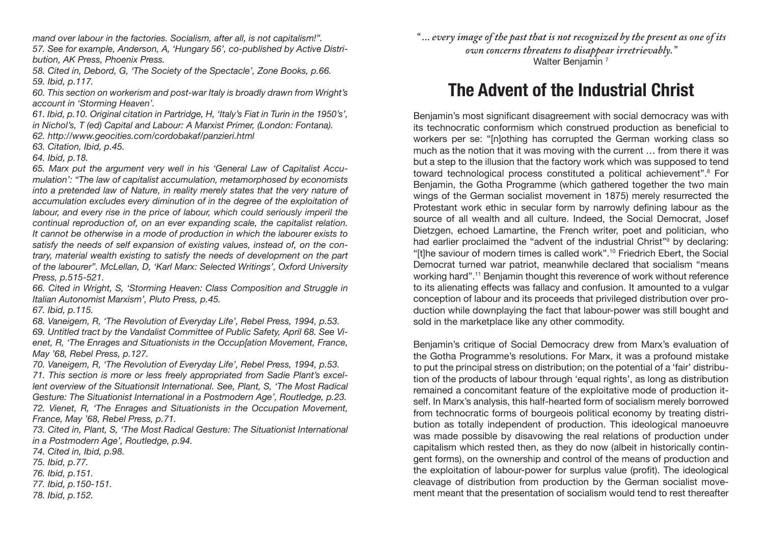*mand over labour in the factories. Socialism, after all, is not capitalism!".*

*57. See for example, Anderson, A, 'Hungary 56', co-published by Active Distribution, AK Press, Phoenix Press.*

*58. Cited in, Debord, G, 'The Society of the Spectacle', Zone Books, p.66. 59. Ibid, p.117.*

*60. This section on workerism and post-war Italy is broadly drawn from Wright's account in 'Storming Heaven'.* 

*61. Ibid, p.10. Original citation in Partridge, H, 'Italy's Fiat in Turin in the 1950's', in Nichol's, T (ed) Capital and Labour: A Marxist Primer, (London: Fontana).*

*62. http://www.geocities.com/cordobakaf/panzieri.html*

*63. Citation, Ibid, p.45.*

*64. Ibid, p.18.*

*65. Marx put the argument very well in his 'General Law of Capitalist Accumulation': "The law of capitalist accumulation, metamorphosed by economists into a pretended law of Nature, in reality merely states that the very nature of accumulation excludes every diminution of in the degree of the exploitation of labour, and every rise in the price of labour, which could seriously imperil the continual reproduction of, on an ever expanding scale, the capitalist relation. It cannot be otherwise in a mode of production in which the labourer exists to satisfy the needs of self expansion of existing values, instead of, on the contrary, material wealth existing to satisfy the needs of development on the part of the labourer". McLellan, D, 'Karl Marx: Selected Writings', Oxford University Press, p.515-521.* 

*66. Cited in Wright, S, 'Storming Heaven: Class Composition and Struggle in Italian Autonomist Marxism', Pluto Press, p.45.*

*67. Ibid, p.115.*

*68. Vaneigem, R, 'The Revolution of Everyday Life', Rebel Press, 1994, p.53. 69. Untitled tract by the Vandalist Committee of Public Safety, April 68. See Vienet, R, 'The Enrages and Situationists in the Occup[ation Movement, France, May '68, Rebel Press, p.127.*

*70. Vaneigem, R, 'The Revolution of Everyday Life', Rebel Press, 1994, p.53. 71. This section is more or less freely appropriated from Sadie Plant's excellent overview of the Situationsit International. See, Plant, S, 'The Most Radical Gesture: The Situationist International in a Postmodern Age', Routledge, p.23. 72. Vienet, R, 'The Enrages and Situationists in the Occupation Movement, France, May '68, Rebel Press, p.71.*

*73. Cited in, Plant, S, 'The Most Radical Gesture: The Situationist International in a Postmodern Age', Routledge, p.94.*

*74. Cited in, Ibid, p.98.*

- *75. Ibid, p.77.*
- *76. Ibid, p.151.*
- *77. Ibid, p.150-151.*
- *78. Ibid, p.152.*

*" ... every image of the past that is not recognized by the present as one of its own concerns threatens to disappear irretrievably."* Walter Benjamin<sup>7</sup>

## **The Advent of the Industrial Christ**

Benjamin's most significant disagreement with social democracy was with its technocratic conformism which construed production as beneficial to workers per se: "[n]othing has corrupted the German working class so much as the notion that it was moving with the current … from there it was but a step to the illusion that the factory work which was supposed to tend toward technological process constituted a political achievement".8 For Benjamin, the Gotha Programme (which gathered together the two main wings of the German socialist movement in 1875) merely resurrected the Protestant work ethic in secular form by narrowly defining labour as the source of all wealth and all culture. Indeed, the Social Democrat, Josef Dietzgen, echoed Lamartine, the French writer, poet and politician, who had earlier proclaimed the "advent of the industrial Christ"<sup>9</sup> by declaring: "[t]he saviour of modern times is called work".10 Friedrich Ebert, the Social Democrat turned war patriot, meanwhile declared that socialism "means working hard".11 Benjamin thought this reverence of work without reference to its alienating effects was fallacy and confusion. It amounted to a vulgar conception of labour and its proceeds that privileged distribution over production while downplaying the fact that labour-power was still bought and sold in the marketplace like any other commodity.

Benjamin's critique of Social Democracy drew from Marx's evaluation of the Gotha Programme's resolutions. For Marx, it was a profound mistake to put the principal stress on distribution; on the potential of a 'fair' distribution of the products of labour through 'equal rights', as long as distribution remained a concomitant feature of the exploitative mode of production itself. In Marx's analysis, this half-hearted form of socialism merely borrowed from technocratic forms of bourgeois political economy by treating distribution as totally independent of production. This ideological manoeuvre was made possible by disavowing the real relations of production under capitalism which rested then, as they do now (albeit in historically contingent forms), on the ownership and control of the means of production and the exploitation of labour-power for surplus value (profit). The ideological cleavage of distribution from production by the German socialist movement meant that the presentation of socialism would tend to rest thereafter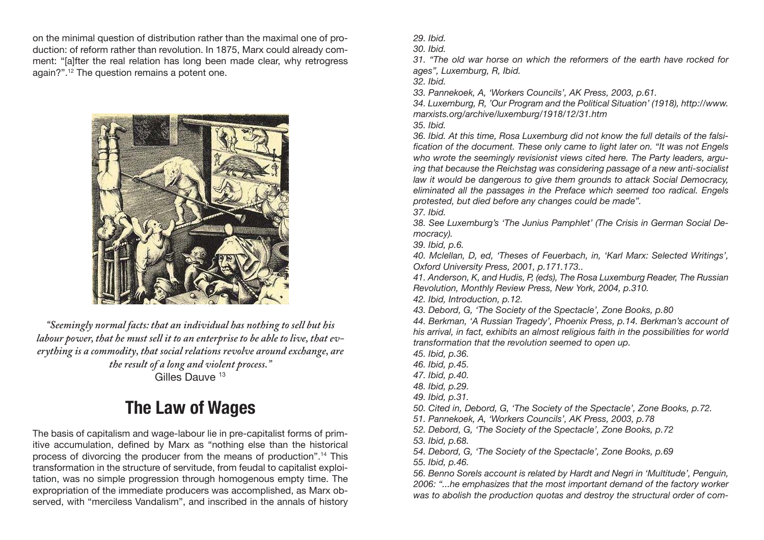on the minimal question of distribution rather than the maximal one of production: of reform rather than revolution. In 1875, Marx could already comment: "[a]fter the real relation has long been made clear, why retrogress again?".12 The question remains a potent one.



*"Seemingly normal facts: that an individual has nothing to sell but his labour power, that he must sell it to an enterprise to be able to live, that everything is a commodity, that social relations revolve around exchange, are the result of a long and violent process."* Gilles Dauve<sup>13</sup>

## **The Law of Wages**

The basis of capitalism and wage-labour lie in pre-capitalist forms of primitive accumulation, defined by Marx as "nothing else than the historical process of divorcing the producer from the means of production".14 This transformation in the structure of servitude, from feudal to capitalist exploitation, was no simple progression through homogenous empty time. The expropriation of the immediate producers was accomplished, as Marx observed, with "merciless Vandalism", and inscribed in the annals of history

*29. Ibid.*

*30. Ibid.*

*31. "The old war horse on which the reformers of the earth have rocked for ages", Luxemburg, R, Ibid.*

*32. Ibid.*

*33. Pannekoek, A, 'Workers Councils', AK Press, 2003, p.61.*

*34. Luxemburg, R, 'Our Program and the Political Situation' (1918), http://www. marxists.org/archive/luxemburg/1918/12/31.htm*

*35. Ibid.*

*36. Ibid. At this time, Rosa Luxemburg did not know the full details of the falsification of the document. These only came to light later on. "It was not Engels who wrote the seemingly revisionist views cited here. The Party leaders, arguing that because the Reichstag was considering passage of a new anti-socialist law it would be dangerous to give them grounds to attack Social Democracy, eliminated all the passages in the Preface which seemed too radical. Engels protested, but died before any changes could be made".* 

*37. Ibid.*

*38. See Luxemburg's 'The Junius Pamphlet' (The Crisis in German Social Democracy).*

*39. Ibid, p.6.*

*40. Mclellan, D, ed, 'Theses of Feuerbach, in, 'Karl Marx: Selected Writings', Oxford University Press, 2001, p.171.173..*

*41. Anderson, K, and Hudis, P, (eds), The Rosa Luxemburg Reader, The Russian Revolution, Monthly Review Press, New York, 2004, p.310.*

*42. Ibid, Introduction, p.12.*

*43. Debord, G, 'The Society of the Spectacle', Zone Books, p.80*

*44. Berkman, 'A Russian Tragedy', Phoenix Press, p.14. Berkman's account of his arrival, in fact, exhibits an almost religious faith in the possibilities for world transformation that the revolution seemed to open up.*

*45. Ibid, p.36.*

- *46. Ibid, p.45.*
- *47. Ibid, p.40.*

*48. Ibid, p.29.*

*49. Ibid, p.31.*

*50. Cited in, Debord, G, 'The Society of the Spectacle', Zone Books, p.72.*

*51. Pannekoek, A, 'Workers Councils', AK Press, 2003, p.78*

*52. Debord, G, 'The Society of the Spectacle', Zone Books, p.72 53. Ibid, p.68.*

*54. Debord, G, 'The Society of the Spectacle', Zone Books, p.69*

*55. Ibid, p.46.*

*56. Benno Sorels account is related by Hardt and Negri in 'Multitude', Penguin, 2006: "...he emphasizes that the most important demand of the factory worker was to abolish the production quotas and destroy the structural order of com-*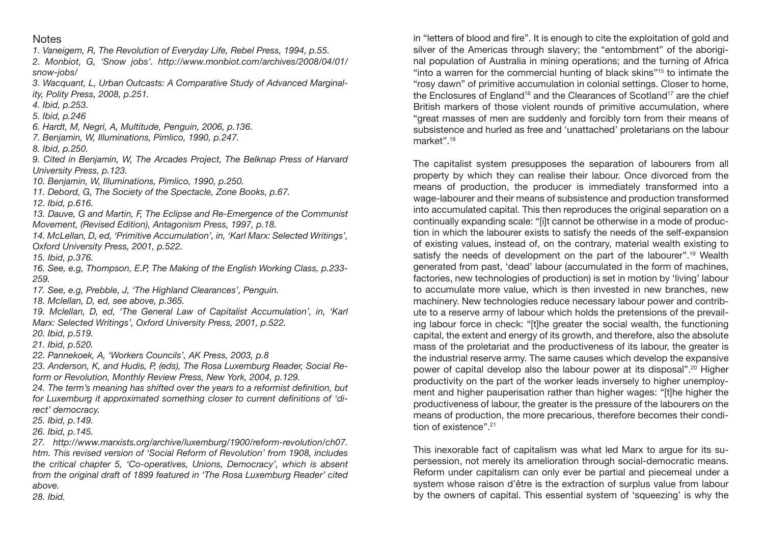#### **Notes**

*259.*

*above. 28. Ibid.*

*1. Vaneigem, R, The Revolution of Everyday Life, Rebel Press, 1994, p.55. 2. Monbiot, G, 'Snow jobs'. http://www.monbiot.com/archives/2008/04/01/ snow-jobs/ 3. Wacquant, L, Urban Outcasts: A Comparative Study of Advanced Marginality, Polity Press, 2008, p.251. 4. Ibid, p.253. 5. Ibid, p.246 6. Hardt, M, Negri, A, Multitude, Penguin, 2006, p.136. 7. Benjamin, W, Illuminations, Pimlico, 1990, p.247. 8. Ibid, p.250. 9. Cited in Benjamin, W, The Arcades Project, The Belknap Press of Harvard University Press, p.123. 10. Benjamin, W, Illuminations, Pimlico, 1990, p.250. 11. Debord, G, The Society of the Spectacle, Zone Books, p.67. 12. Ibid, p.616. 13. Dauve, G and Martin, F, The Eclipse and Re-Emergence of the Communist Movement, (Revised Edition), Antagonism Press, 1997, p.18. 14. McLellan, D, ed, 'Primitive Accumulation', in, 'Karl Marx: Selected Writings', Oxford University Press, 2001, p.522. 15. Ibid, p.376. 16. See, e.g, Thompson, E.P, The Making of the English Working Class, p.233- 17. See, e.g, Prebble, J, 'The Highland Clearances', Penguin. 18. Mclellan, D, ed, see above, p.365. 19. Mclellan, D, ed, 'The General Law of Capitalist Accumulation', in, 'Karl Marx: Selected Writings', Oxford University Press, 2001, p.522. 20. Ibid, p.519. 21. Ibid, p.520. 22. Pannekoek, A, 'Workers Councils', AK Press, 2003, p.8 23. Anderson, K, and Hudis, P, (eds), The Rosa Luxemburg Reader, Social Reform or Revolution, Monthly Review Press, New York, 2004, p.129. 24. The term's meaning has shifted over the years to a reformist de fi nition, but for Luxemburg it approximated something closer to current de fi nitions of 'direct' democracy. 25. Ibid, p.149. 26. Ibid, p.145. 27. http://www.marxists.org/archive/luxemburg/1900/reform-revolution/ch07. htm. This revised version of 'Social Reform of Revolution' from 1908, includes the critical chapter 5, 'Co-operatives, Unions, Democracy', which is absent* 

*from the original draft of 1899 featured in 'The Rosa Luxemburg Reader' cited* 

in "letters of blood and fire". It is enough to cite the exploitation of gold and silver of the Americas through slavery; the "entombment" of the aboriginal population of Australia in mining operations; and the turning of Africa "into a warren for the commercial hunting of black skins"15 to intimate the "rosy dawn" of primitive accumulation in colonial settings. Closer to home, the Enclosures of England<sup>16</sup> and the Clearances of Scotland<sup>17</sup> are the chief British markers of those violent rounds of primitive accumulation, where "great masses of men are suddenly and forcibly torn from their means of subsistence and hurled as free and 'unattached' proletarians on the labour market".18

The capitalist system presupposes the separation of labourers from all property by which they can realise their labour. Once divorced from the means of production, the producer is immediately transformed into a wage-labourer and their means of subsistence and production transformed into accumulated capital. This then reproduces the original separation on a continually expanding scale: "[i]t cannot be otherwise in a mode of production in which the labourer exists to satisfy the needs of the self-expansion of existing values, instead of, on the contrary, material wealth existing to satisfy the needs of development on the part of the labourer".<sup>19</sup> Wealth generated from past, 'dead' labour (accumulated in the form of machines, factories, new technologies of production) is set in motion by 'living' labour to accumulate more value, which is then invested in new branches, new machinery. New technologies reduce necessary labour power and contribute to a reserve army of labour which holds the pretensions of the prevailing labour force in check: "[t]he greater the social wealth, the functioning capital, the extent and energy of its growth, and therefore, also the absolute mass of the proletariat and the productiveness of its labour, the greater is the industrial reserve army. The same causes which develop the expansive power of capital develop also the labour power at its disposal".20 Higher productivity on the part of the worker leads inversely to higher unemployment and higher pauperisation rather than higher wages: "[t]he higher the productiveness of labour, the greater is the pressure of the labourers on the means of production, the more precarious, therefore becomes their condition of existence".<sup>21</sup>

This inexorable fact of capitalism was what led Marx to argue for its supersession, not merely its amelioration through social-democratic means. Reform under capitalism can only ever be partial and piecemeal under a system whose raison d'être is the extraction of surplus value from labour by the owners of capital. This essential system of 'squeezing' is why the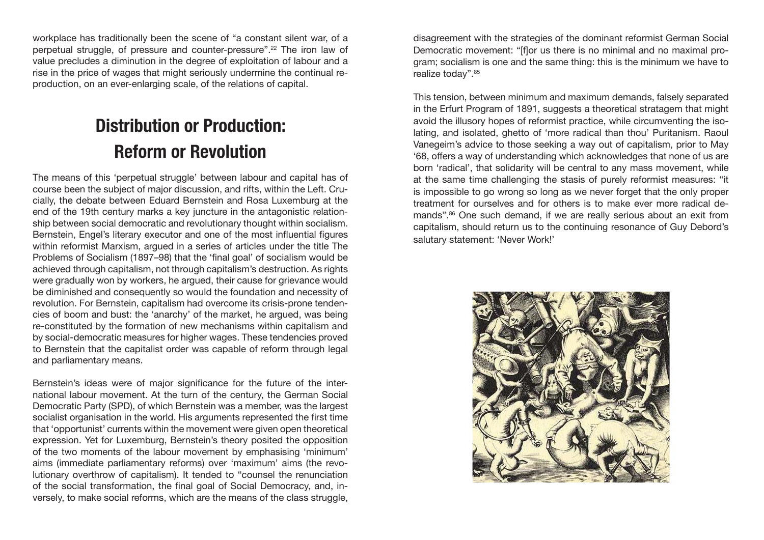workplace has traditionally been the scene of "a constant silent war, of a perpetual struggle, of pressure and counter-pressure".22 The iron law of value precludes a diminution in the degree of exploitation of labour and a rise in the price of wages that might seriously undermine the continual reproduction, on an ever-enlarging scale, of the relations of capital.

## **Distribution or Production: Reform or Revolution**

The means of this 'perpetual struggle' between labour and capital has of course been the subject of major discussion, and rifts, within the Left. Crucially, the debate between Eduard Bernstein and Rosa Luxemburg at the end of the 19th century marks a key juncture in the antagonistic relationship between social democratic and revolutionary thought within socialism. Bernstein, Engel's literary executor and one of the most influential figures within reformist Marxism, argued in a series of articles under the title The Problems of Socialism (1897–98) that the 'final goal' of socialism would be achieved through capitalism, not through capitalism's destruction. As rights were gradually won by workers, he argued, their cause for grievance would be diminished and consequently so would the foundation and necessity of revolution. For Bernstein, capitalism had overcome its crisis-prone tendencies of boom and bust: the 'anarchy' of the market, he argued, was being re-constituted by the formation of new mechanisms within capitalism and by social-democratic measures for higher wages. These tendencies proved to Bernstein that the capitalist order was capable of reform through legal and parliamentary means.

Bernstein's ideas were of major significance for the future of the international labour movement. At the turn of the century, the German Social Democratic Party (SPD), of which Bernstein was a member, was the largest socialist organisation in the world. His arguments represented the first time that 'opportunist' currents within the movement were given open theoretical expression. Yet for Luxemburg, Bernstein's theory posited the opposition of the two moments of the labour movement by emphasising 'minimum' aims (immediate parliamentary reforms) over 'maximum' aims (the revolutionary overthrow of capitalism). It tended to "counsel the renunciation of the social transformation, the final goal of Social Democracy, and, inversely, to make social reforms, which are the means of the class struggle,

disagreement with the strategies of the dominant reformist German Social Democratic movement: "[f]or us there is no minimal and no maximal program; socialism is one and the same thing: this is the minimum we have to realize today".<sup>85</sup>

This tension, between minimum and maximum demands, falsely separated in the Erfurt Program of 1891, suggests a theoretical stratagem that might avoid the illusory hopes of reformist practice, while circumventing the isolating, and isolated, ghetto of 'more radical than thou' Puritanism. Raoul Vanegeim's advice to those seeking a way out of capitalism, prior to May '68, offers a way of understanding which acknowledges that none of us are born 'radical', that solidarity will be central to any mass movement, while at the same time challenging the stasis of purely reformist measures: "it is impossible to go wrong so long as we never forget that the only proper treatment for ourselves and for others is to make ever more radical demands".86 One such demand, if we are really serious about an exit from capitalism, should return us to the continuing resonance of Guy Debord's salutary statement: 'Never Work!'

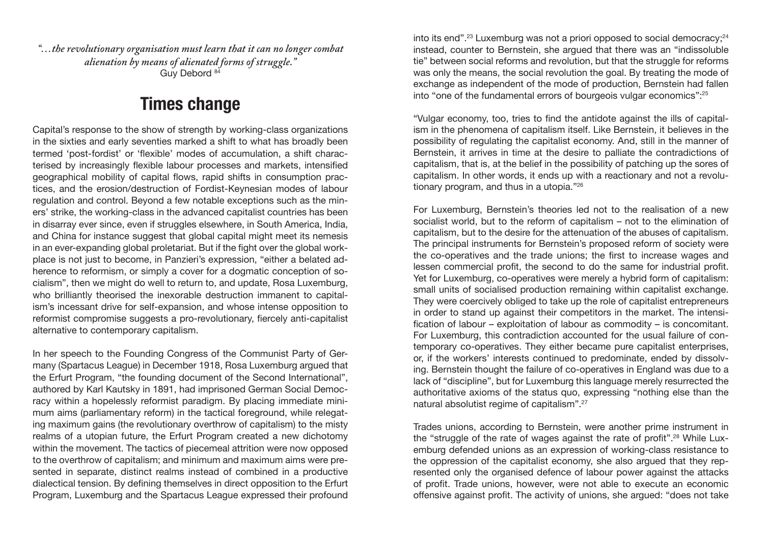*"…the revolutionary organisation must learn that it can no longer combat alienation by means of alienated forms of struggle."* Guy Debord 84

## **Times change**

Capital's response to the show of strength by working-class organizations in the sixties and early seventies marked a shift to what has broadly been termed 'post-fordist' or 'flexible' modes of accumulation, a shift characterised by increasingly flexible labour processes and markets, intensified geographical mobility of capital flows, rapid shifts in consumption practices, and the erosion/destruction of Fordist-Keynesian modes of labour regulation and control. Beyond a few notable exceptions such as the miners' strike, the working-class in the advanced capitalist countries has been in disarray ever since, even if struggles elsewhere, in South America, India, and China for instance suggest that global capital might meet its nemesis in an ever-expanding global proletariat. But if the fight over the global workplace is not just to become, in Panzieri's expression, "either a belated adherence to reformism, or simply a cover for a dogmatic conception of socialism", then we might do well to return to, and update, Rosa Luxemburg, who brilliantly theorised the inexorable destruction immanent to capitalism's incessant drive for self-expansion, and whose intense opposition to reformist compromise suggests a pro-revolutionary, fiercely anti-capitalist alternative to contemporary capitalism.

In her speech to the Founding Congress of the Communist Party of Germany (Spartacus League) in December 1918, Rosa Luxemburg argued that the Erfurt Program, "the founding document of the Second International", authored by Karl Kautsky in 1891, had imprisoned German Social Democracy within a hopelessly reformist paradigm. By placing immediate minimum aims (parliamentary reform) in the tactical foreground, while relegating maximum gains (the revolutionary overthrow of capitalism) to the misty realms of a utopian future, the Erfurt Program created a new dichotomy within the movement. The tactics of piecemeal attrition were now opposed to the overthrow of capitalism; and minimum and maximum aims were presented in separate, distinct realms instead of combined in a productive dialectical tension. By defining themselves in direct opposition to the Erfurt Program, Luxemburg and the Spartacus League expressed their profound

into its end".<sup>23</sup> Luxemburg was not a priori opposed to social democracy:<sup>24</sup> instead, counter to Bernstein, she argued that there was an "indissoluble tie" between social reforms and revolution, but that the struggle for reforms was only the means, the social revolution the goal. By treating the mode of exchange as independent of the mode of production, Bernstein had fallen into "one of the fundamental errors of bourgeois vulgar economics":25

"Vulgar economy, too, tries to find the antidote against the ills of capitalism in the phenomena of capitalism itself. Like Bernstein, it believes in the possibility of regulating the capitalist economy. And, still in the manner of Bernstein, it arrives in time at the desire to palliate the contradictions of capitalism, that is, at the belief in the possibility of patching up the sores of capitalism. In other words, it ends up with a reactionary and not a revolutionary program, and thus in a utopia."26

For Luxemburg, Bernstein's theories led not to the realisation of a new socialist world, but to the reform of capitalism – not to the elimination of capitalism, but to the desire for the attenuation of the abuses of capitalism. The principal instruments for Bernstein's proposed reform of society were the co-operatives and the trade unions; the first to increase wages and lessen commercial profit, the second to do the same for industrial profit. Yet for Luxemburg, co-operatives were merely a hybrid form of capitalism: small units of socialised production remaining within capitalist exchange. They were coercively obliged to take up the role of capitalist entrepreneurs in order to stand up against their competitors in the market. The intensification of labour – exploitation of labour as commodity – is concomitant. For Luxemburg, this contradiction accounted for the usual failure of contemporary co-operatives. They either became pure capitalist enterprises, or, if the workers' interests continued to predominate, ended by dissolving. Bernstein thought the failure of co-operatives in England was due to a lack of "discipline", but for Luxemburg this language merely resurrected the authoritative axioms of the status quo, expressing "nothing else than the natural absolutist regime of capitalism".27

Trades unions, according to Bernstein, were another prime instrument in the "struggle of the rate of wages against the rate of profit".<sup>28</sup> While Luxemburg defended unions as an expression of working-class resistance to the oppression of the capitalist economy, she also argued that they represented only the organised defence of labour power against the attacks of profit. Trade unions, however, were not able to execute an economic offensive against profit. The activity of unions, she argued: "does not take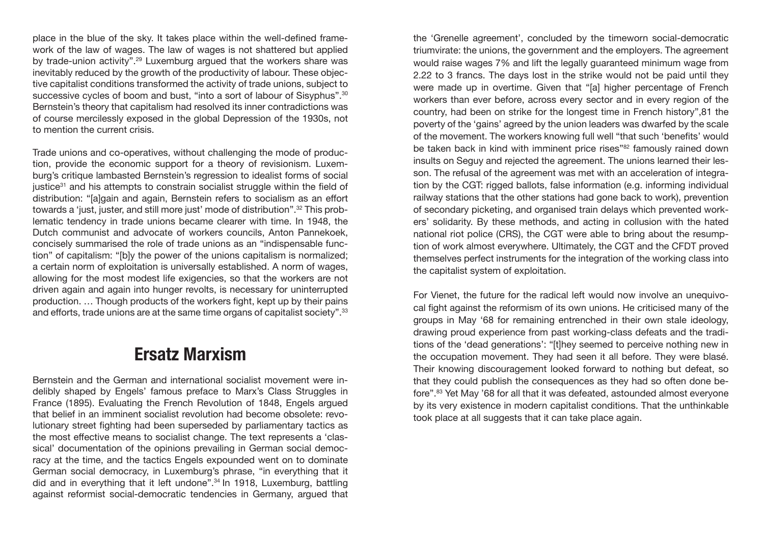place in the blue of the sky. It takes place within the well-defined framework of the law of wages. The law of wages is not shattered but applied by trade-union activity".29 Luxemburg argued that the workers share was inevitably reduced by the growth of the productivity of labour. These objective capitalist conditions transformed the activity of trade unions, subject to successive cycles of boom and bust, "into a sort of labour of Sisyphus".<sup>30</sup> Bernstein's theory that capitalism had resolved its inner contradictions was of course mercilessly exposed in the global Depression of the 1930s, not to mention the current crisis.

Trade unions and co-operatives, without challenging the mode of production, provide the economic support for a theory of revisionism. Luxemburg's critique lambasted Bernstein's regression to idealist forms of social justice<sup>31</sup> and his attempts to constrain socialist struggle within the field of distribution: "[a]gain and again, Bernstein refers to socialism as an effort towards a 'just, juster, and still more just' mode of distribution".<sup>32</sup> This problematic tendency in trade unions became clearer with time. In 1948, the Dutch communist and advocate of workers councils, Anton Pannekoek, concisely summarised the role of trade unions as an "indispensable function" of capitalism: "[b]y the power of the unions capitalism is normalized; a certain norm of exploitation is universally established. A norm of wages, allowing for the most modest life exigencies, so that the workers are not driven again and again into hunger revolts, is necessary for uninterrupted production. … Though products of the workers fight, kept up by their pains and efforts, trade unions are at the same time organs of capitalist society".<sup>33</sup>

#### **Ersatz Marxism**

Bernstein and the German and international socialist movement were indelibly shaped by Engels' famous preface to Marx's Class Struggles in France (1895). Evaluating the French Revolution of 1848, Engels argued that belief in an imminent socialist revolution had become obsolete: revolutionary street fighting had been superseded by parliamentary tactics as the most effective means to socialist change. The text represents a 'classical' documentation of the opinions prevailing in German social democracy at the time, and the tactics Engels expounded went on to dominate German social democracy, in Luxemburg's phrase, "in everything that it did and in everything that it left undone".34 In 1918, Luxemburg, battling against reformist social-democratic tendencies in Germany, argued that

the 'Grenelle agreement', concluded by the timeworn social-democratic triumvirate: the unions, the government and the employers. The agreement would raise wages 7% and lift the legally guaranteed minimum wage from 2.22 to 3 francs. The days lost in the strike would not be paid until they were made up in overtime. Given that "[a] higher percentage of French workers than ever before, across every sector and in every region of the country, had been on strike for the longest time in French history",81 the poverty of the 'gains' agreed by the union leaders was dwarfed by the scale of the movement. The workers knowing full well "that such 'benefits' would be taken back in kind with imminent price rises"82 famously rained down insults on Seguy and rejected the agreement. The unions learned their lesson. The refusal of the agreement was met with an acceleration of integration by the CGT: rigged ballots, false information (e.g. informing individual railway stations that the other stations had gone back to work), prevention of secondary picketing, and organised train delays which prevented workers' solidarity. By these methods, and acting in collusion with the hated national riot police (CRS), the CGT were able to bring about the resumption of work almost everywhere. Ultimately, the CGT and the CFDT proved themselves perfect instruments for the integration of the working class into the capitalist system of exploitation.

For Vienet, the future for the radical left would now involve an unequivocal fight against the reformism of its own unions. He criticised many of the groups in May '68 for remaining entrenched in their own stale ideology, drawing proud experience from past working-class defeats and the traditions of the 'dead generations': "[t]hey seemed to perceive nothing new in the occupation movement. They had seen it all before. They were blasé. Their knowing discouragement looked forward to nothing but defeat, so that they could publish the consequences as they had so often done before".83 Yet May '68 for all that it was defeated, astounded almost everyone by its very existence in modern capitalist conditions. That the unthinkable took place at all suggests that it can take place again.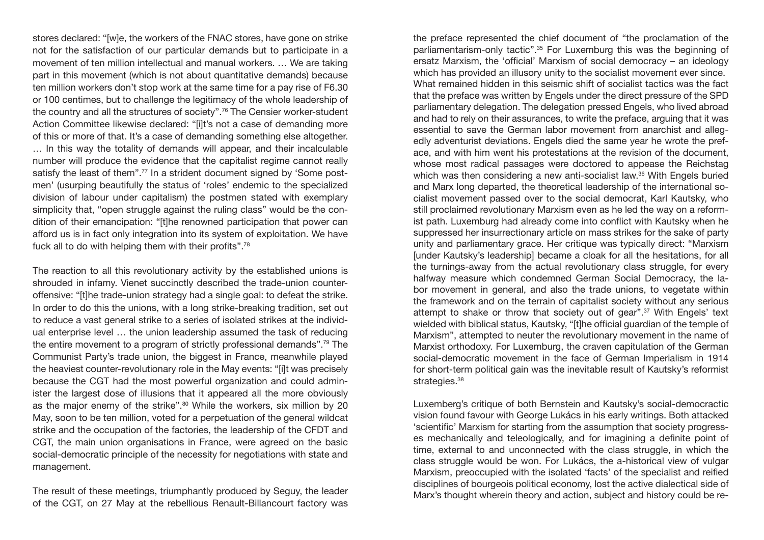stores declared: "[w]e, the workers of the FNAC stores, have gone on strike not for the satisfaction of our particular demands but to participate in a movement of ten million intellectual and manual workers. … We are taking part in this movement (which is not about quantitative demands) because ten million workers don't stop work at the same time for a pay rise of F6.30 or 100 centimes, but to challenge the legitimacy of the whole leadership of the country and all the structures of society".<sup>76</sup> The Censier worker-student Action Committee likewise declared: "[i]t's not a case of demanding more of this or more of that. It's a case of demanding something else altogether. … In this way the totality of demands will appear, and their incalculable number will produce the evidence that the capitalist regime cannot really satisfy the least of them".77 In a strident document signed by 'Some postmen' (usurping beautifully the status of 'roles' endemic to the specialized division of labour under capitalism) the postmen stated with exemplary simplicity that, "open struggle against the ruling class" would be the condition of their emancipation: "[t]he renowned participation that power can afford us is in fact only integration into its system of exploitation. We have fuck all to do with helping them with their profits". $^\mathrm{78}$ 

The reaction to all this revolutionary activity by the established unions is shrouded in infamy. Vienet succinctly described the trade-union counteroffensive: "[t]he trade-union strategy had a single goal: to defeat the strike. In order to do this the unions, with a long strike-breaking tradition, set out to reduce a vast general strike to a series of isolated strikes at the individual enterprise level … the union leadership assumed the task of reducing the entire movement to a program of strictly professional demands".<sup>79</sup> The Communist Party's trade union, the biggest in France, meanwhile played the heaviest counter-revolutionary role in the May events: "[i]t was precisely because the CGT had the most powerful organization and could administer the largest dose of illusions that it appeared all the more obviously as the major enemy of the strike".<sup>80</sup> While the workers, six million by 20 May, soon to be ten million, voted for a perpetuation of the general wildcat strike and the occupation of the factories, the leadership of the CFDT and CGT, the main union organisations in France, were agreed on the basic social-democratic principle of the necessity for negotiations with state and management.

The result of these meetings, triumphantly produced by Seguy, the leader of the CGT, on 27 May at the rebellious Renault-Billancourt factory was

the preface represented the chief document of "the proclamation of the parliamentarism-only tactic".35 For Luxemburg this was the beginning of ersatz Marxism, the 'official' Marxism of social democracy – an ideology which has provided an illusory unity to the socialist movement ever since. What remained hidden in this seismic shift of socialist tactics was the fact that the preface was written by Engels under the direct pressure of the SPD parliamentary delegation. The delegation pressed Engels, who lived abroad and had to rely on their assurances, to write the preface, arguing that it was essential to save the German labor movement from anarchist and allegedly adventurist deviations. Engels died the same year he wrote the preface, and with him went his protestations at the revision of the document, whose most radical passages were doctored to appease the Reichstag which was then considering a new anti-socialist law.<sup>36</sup> With Engels buried and Marx long departed, the theoretical leadership of the international socialist movement passed over to the social democrat, Karl Kautsky, who still proclaimed revolutionary Marxism even as he led the way on a reformist path. Luxemburg had already come into conflict with Kautsky when he suppressed her insurrectionary article on mass strikes for the sake of party unity and parliamentary grace. Her critique was typically direct: "Marxism [under Kautsky's leadership] became a cloak for all the hesitations, for all the turnings-away from the actual revolutionary class struggle, for every halfway measure which condemned German Social Democracy, the labor movement in general, and also the trade unions, to vegetate within the framework and on the terrain of capitalist society without any serious attempt to shake or throw that society out of gear".37 With Engels' text wielded with biblical status, Kautsky, "[t]he of fi cial guardian of the temple of Marxism", attempted to neuter the revolutionary movement in the name of Marxist orthodoxy. For Luxemburg, the craven capitulation of the German social-democratic movement in the face of German Imperialism in 1914 for short-term political gain was the inevitable result of Kautsky's reformist strategies.<sup>38</sup>

Luxemberg's critique of both Bernstein and Kautsky's social-democractic vision found favour with George Lukács in his early writings. Both attacked 'scienti fi c' Marxism for starting from the assumption that society progresses mechanically and teleologically, and for imagining a definite point of time, external to and unconnected with the class struggle, in which the class struggle would be won. For Lukács, the a-historical view of vulgar Marxism, preoccupied with the isolated 'facts' of the specialist and reified disciplines of bourgeois political economy, lost the active dialectical side of Marx's thought wherein theory and action, subject and history could be re-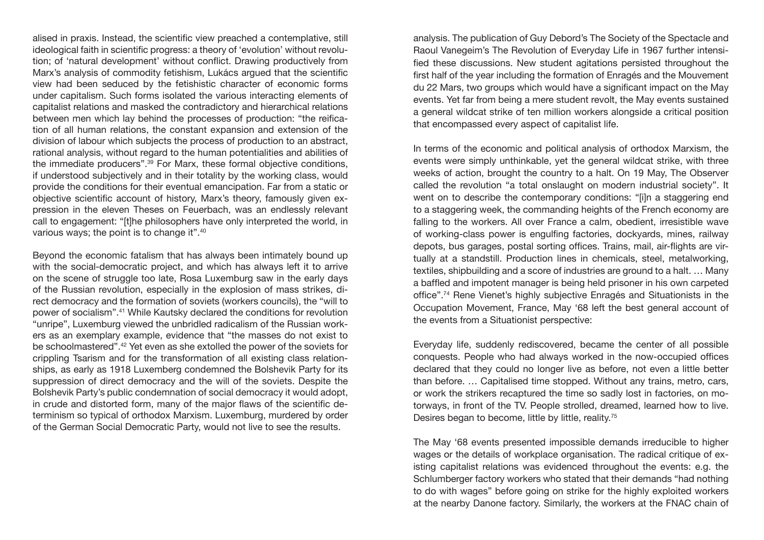alised in praxis. Instead, the scienti fi c view preached a contemplative, still ideological faith in scientific progress: a theory of 'evolution' without revolution; of 'natural development' without conflict. Drawing productively from Marx's analysis of commodity fetishism, Lukács argued that the scientific view had been seduced by the fetishistic character of economic forms under capitalism. Such forms isolated the various interacting elements of capitalist relations and masked the contradictory and hierarchical relations between men which lay behind the processes of production: "the rei fi cation of all human relations, the constant expansion and extension of the division of labour which subjects the process of production to an abstract, rational analysis, without regard to the human potentialities and abilities of the immediate producers".39 For Marx, these formal objective conditions, if understood subjectively and in their totality by the working class, would provide the conditions for their eventual emancipation. Far from a static or objective scienti fi c account of history, Marx's theory, famously given expression in the eleven Theses on Feuerbach, was an endlessly relevant call to engagement: "[t]he philosophers have only interpreted the world, in various ways; the point is to change it".40

Beyond the economic fatalism that has always been intimately bound up with the social-democratic project, and which has always left it to arrive on the scene of struggle too late. Rosa Luxemburg saw in the early days of the Russian revolution, especially in the explosion of mass strikes, direct democracy and the formation of soviets (workers councils), the "will to power of socialism".41 While Kautsky declared the conditions for revolution "unripe", Luxemburg viewed the unbridled radicalism of the Russian workers as an exemplary example, evidence that "the masses do not exist to be schoolmastered".42 Yet even as she extolled the power of the soviets for crippling Tsarism and for the transformation of all existing class relationships, as early as 1918 Luxemberg condemned the Bolshevik Party for its suppression of direct democracy and the will of the soviets. Despite the Bolshevik Party's public condemnation of social democracy it would adopt, in crude and distorted form, many of the major flaws of the scientific determinism so typical of orthodox Marxism. Luxemburg, murdered by order of the German Social Democratic Party, would not live to see the results.

analysis. The publication of Guy Debord's The Society of the Spectacle and Raoul Vanegeim's The Revolution of Everyday Life in 1967 further intensified these discussions. New student agitations persisted throughout the first half of the year including the formation of Enragés and the Mouvement du 22 Mars, two groups which would have a significant impact on the May events. Yet far from being a mere student revolt, the May events sustained a general wildcat strike of ten million workers alongside a critical position that encompassed every aspect of capitalist life.

In terms of the economic and political analysis of orthodox Marxism, the events were simply unthinkable, yet the general wildcat strike, with three weeks of action, brought the country to a halt. On 19 May, The Observer called the revolution "a total onslaught on modern industrial society". It went on to describe the contemporary conditions: "[i]n a staggering end to a staggering week, the commanding heights of the French economy are falling to the workers. All over France a calm, obedient, irresistible wave of working-class power is engulfing factories, dockyards, mines, railway depots, bus garages, postal sorting offices. Trains, mail, air-flights are virtually at a standstill. Production lines in chemicals, steel, metalworking, textiles, shipbuilding and a score of industries are ground to a halt. … Many a baffled and impotent manager is being held prisoner in his own carpeted office".<sup>74</sup> Rene Vienet's highly subjective Enragés and Situationists in the Occupation Movement, France, May '68 left the best general account of the events from a Situationist perspective:

Everyday life, suddenly rediscovered, became the center of all possible conquests. People who had always worked in the now-occupied offices declared that they could no longer live as before, not even a little better than before. … Capitalised time stopped. Without any trains, metro, cars, or work the strikers recaptured the time so sadly lost in factories, on motorways, in front of the TV. People strolled, dreamed, learned how to live. Desires began to become, little by little, reality.<sup>75</sup>

The May '68 events presented impossible demands irreducible to higher wages or the details of workplace organisation. The radical critique of existing capitalist relations was evidenced throughout the events: e.g. the Schlumberger factory workers who stated that their demands "had nothing to do with wages" before going on strike for the highly exploited workers at the nearby Danone factory. Similarly, the workers at the FNAC chain of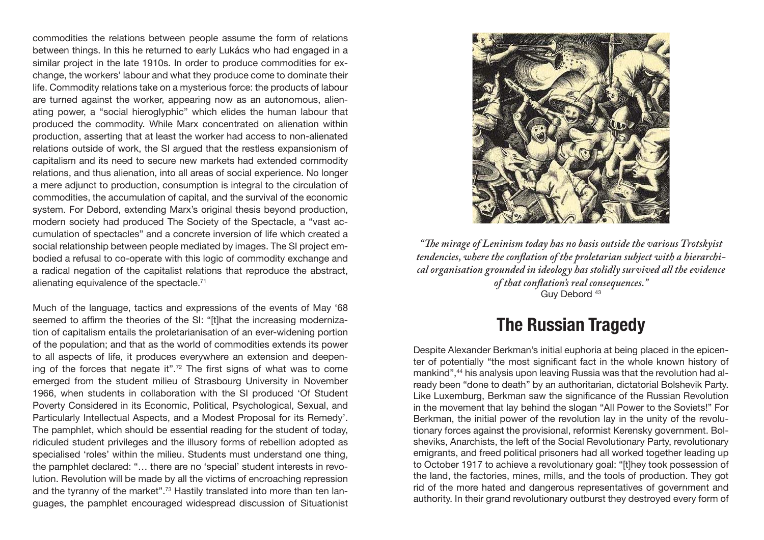commodities the relations between people assume the form of relations between things. In this he returned to early Lukács who had engaged in a similar project in the late 1910s. In order to produce commodities for exchange, the workers' labour and what they produce come to dominate their life. Commodity relations take on a mysterious force: the products of labour are turned against the worker, appearing now as an autonomous, alienating power, a "social hieroglyphic" which elides the human labour that produced the commodity. While Marx concentrated on alienation within production, asserting that at least the worker had access to non-alienated relations outside of work, the SI argued that the restless expansionism of capitalism and its need to secure new markets had extended commodity relations, and thus alienation, into all areas of social experience. No longer a mere adjunct to production, consumption is integral to the circulation of commodities, the accumulation of capital, and the survival of the economic system. For Debord, extending Marx's original thesis beyond production, modern society had produced The Society of the Spectacle, a "vast accumulation of spectacles" and a concrete inversion of life which created a social relationship between people mediated by images. The SI project embodied a refusal to co-operate with this logic of commodity exchange and a radical negation of the capitalist relations that reproduce the abstract, alienating equivalence of the spectacle.<sup>71</sup>

Much of the language, tactics and expressions of the events of May '68 seemed to affirm the theories of the SI: "[t]hat the increasing modernization of capitalism entails the proletarianisation of an ever-widening portion of the population; and that as the world of commodities extends its power to all aspects of life, it produces everywhere an extension and deepening of the forces that negate it".<sup>72</sup> The first signs of what was to come emerged from the student milieu of Strasbourg University in November 1966, when students in collaboration with the SI produced 'Of Student Poverty Considered in its Economic, Political, Psychological, Sexual, and Particularly Intellectual Aspects, and a Modest Proposal for its Remedy'. The pamphlet, which should be essential reading for the student of today, ridiculed student privileges and the illusory forms of rebellion adopted as specialised 'roles' within the milieu. Students must understand one thing, the pamphlet declared: "… there are no 'special' student interests in revolution. Revolution will be made by all the victims of encroaching repression and the tyranny of the market".73 Hastily translated into more than ten languages, the pamphlet encouraged widespread discussion of Situationist



"The mirage of Leninism today has no basis outside the various Trotskyist tendencies, where the conflation of the proletarian subject with a hierarchi*cal organisation grounded in ideology has stolidly survived all the evidence*  of that conflation's real consequences." Guy Debord<sup>43</sup>

## **The Russian Tragedy**

Despite Alexander Berkman's initial euphoria at being placed in the epicenter of potentially "the most significant fact in the whole known history of mankind",44 his analysis upon leaving Russia was that the revolution had already been "done to death" by an authoritarian, dictatorial Bolshevik Party. Like Luxemburg, Berkman saw the significance of the Russian Revolution in the movement that lay behind the slogan "All Power to the Soviets!" For Berkman, the initial power of the revolution lay in the unity of the revolutionary forces against the provisional, reformist Kerensky government. Bolsheviks, Anarchists, the left of the Social Revolutionary Party, revolutionary emigrants, and freed political prisoners had all worked together leading up to October 1917 to achieve a revolutionary goal: "[t]hey took possession of the land, the factories, mines, mills, and the tools of production. They got rid of the more hated and dangerous representatives of government and authority. In their grand revolutionary outburst they destroyed every form of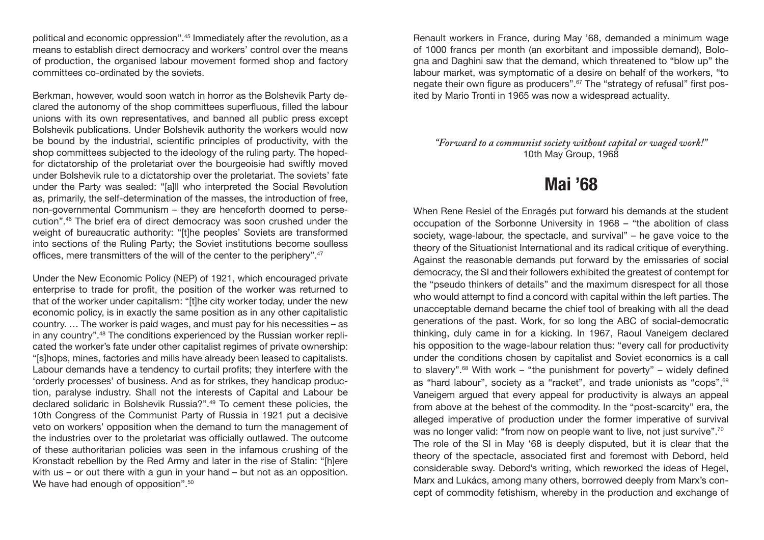political and economic oppression".45 Immediately after the revolution, as a means to establish direct democracy and workers' control over the means of production, the organised labour movement formed shop and factory committees co-ordinated by the soviets.

Berkman, however, would soon watch in horror as the Bolshevik Party declared the autonomy of the shop committees superfluous, filled the labour unions with its own representatives, and banned all public press except Bolshevik publications. Under Bolshevik authority the workers would now be bound by the industrial, scienti fi c principles of productivity, with the shop committees subjected to the ideology of the ruling party. The hopedfor dictatorship of the proletariat over the bourgeoisie had swiftly moved under Bolshevik rule to a dictatorship over the proletariat. The soviets' fate under the Party was sealed: "[a]ll who interpreted the Social Revolution as, primarily, the self-determination of the masses, the introduction of free, non-governmental Communism – they are henceforth doomed to persecution".46 The brief era of direct democracy was soon crushed under the weight of bureaucratic authority: "[t]he peoples' Soviets are transformed into sections of the Ruling Party; the Soviet institutions become soulless offices, mere transmitters of the will of the center to the periphery".<sup>47</sup>

Under the New Economic Policy (NEP) of 1921, which encouraged private enterprise to trade for pro fi t, the position of the worker was returned to that of the worker under capitalism: "[t]he city worker today, under the new economic policy, is in exactly the same position as in any other capitalistic country. … The worker is paid wages, and must pay for his necessities – as in any country".48 The conditions experienced by the Russian worker replicated the worker's fate under other capitalist regimes of private ownership: "[s]hops, mines, factories and mills have already been leased to capitalists. Labour demands have a tendency to curtail profits; they interfere with the 'orderly processes' of business. And as for strikes, they handicap production, paralyse industry. Shall not the interests of Capital and Labour be declared solidaric in Bolshevik Russia?".49 To cement these policies, the 10th Congress of the Communist Party of Russia in 1921 put a decisive veto on workers' opposition when the demand to turn the management of the industries over to the proletariat was officially outlawed. The outcome of these authoritarian policies was seen in the infamous crushing of the Kronstadt rebellion by the Red Army and later in the rise of Stalin: "[h]ere with us – or out there with a gun in your hand – but not as an opposition. We have had enough of opposition".<sup>50</sup>

Renault workers in France, during May '68, demanded a minimum wage of 1000 francs per month (an exorbitant and impossible demand), Bologna and Daghini saw that the demand, which threatened to "blow up" the labour market, was symptomatic of a desire on behalf of the workers, "to negate their own figure as producers".<sup>67</sup> The "strategy of refusal" first posited by Mario Tronti in 1965 was now a widespread actuality.

*"Forward to a communist society without capital or waged work!"* 10th May Group, 1968

## **Mai '68**

When Rene Resiel of the Enragés put forward his demands at the student occupation of the Sorbonne University in 1968 – "the abolition of class society, wage-labour, the spectacle, and survival" – he gave voice to the theory of the Situationist International and its radical critique of everything. Against the reasonable demands put forward by the emissaries of social democracy, the SI and their followers exhibited the greatest of contempt for the "pseudo thinkers of details" and the maximum disrespect for all those who would attempt to find a concord with capital within the left parties. The unacceptable demand became the chief tool of breaking with all the dead generations of the past. Work, for so long the ABC of social-democratic thinking, duly came in for a kicking. In 1967, Raoul Vaneigem declared his opposition to the wage-labour relation thus: "every call for productivity under the conditions chosen by capitalist and Soviet economics is a call to slavery".<sup>68</sup> With work – "the punishment for poverty" – widely defined as "hard labour", society as a "racket", and trade unionists as "cops",<sup>69</sup> Vaneigem argued that every appeal for productivity is always an appeal from above at the behest of the commodity. In the "post-scarcity" era, the alleged imperative of production under the former imperative of survival was no longer valid: "from now on people want to live, not just survive".<sup>70</sup> The role of the SI in May '68 is deeply disputed, but it is clear that the theory of the spectacle, associated first and foremost with Debord, held considerable sway. Debord's writing, which reworked the ideas of Hegel, Marx and Lukács, among many others, borrowed deeply from Marx's concept of commodity fetishism, whereby in the production and exchange of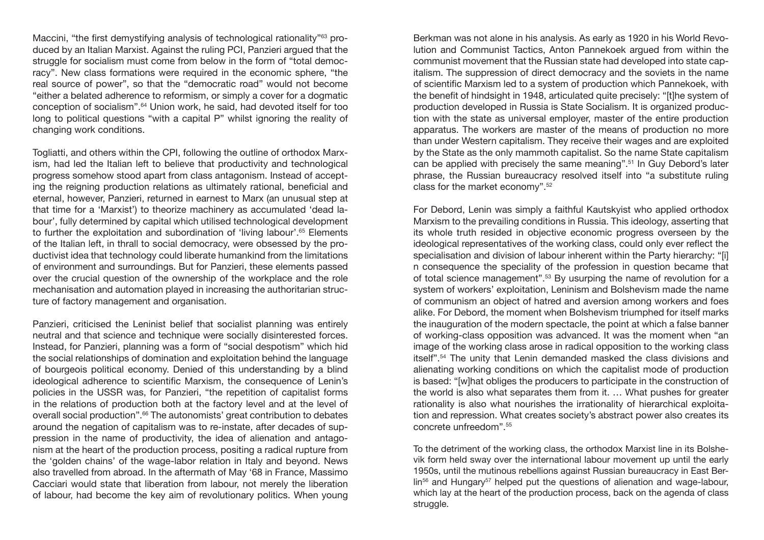Maccini, "the first demystifying analysis of technological rationality"<sup>63</sup> produced by an Italian Marxist. Against the ruling PCI, Panzieri argued that the struggle for socialism must come from below in the form of "total democracy". New class formations were required in the economic sphere, "the real source of power", so that the "democratic road" would not become "either a belated adherence to reformism, or simply a cover for a dogmatic conception of socialism".64 Union work, he said, had devoted itself for too long to political questions "with a capital P" whilst ignoring the reality of changing work conditions.

Togliatti, and others within the CPI, following the outline of orthodox Marxism, had led the Italian left to believe that productivity and technological progress somehow stood apart from class antagonism. Instead of accepting the reigning production relations as ultimately rational, beneficial and eternal, however, Panzieri, returned in earnest to Marx (an unusual step at that time for a 'Marxist') to theorize machinery as accumulated 'dead labour', fully determined by capital which utilised technological development to further the exploitation and subordination of 'living labour'.65 Elements of the Italian left, in thrall to social democracy, were obsessed by the productivist idea that technology could liberate humankind from the limitations of environment and surroundings. But for Panzieri, these elements passed over the crucial question of the ownership of the workplace and the role mechanisation and automation played in increasing the authoritarian structure of factory management and organisation.

Panzieri, criticised the Leninist belief that socialist planning was entirely neutral and that science and technique were socially disinterested forces. Instead, for Panzieri, planning was a form of "social despotism" which hid the social relationships of domination and exploitation behind the language of bourgeois political economy. Denied of this understanding by a blind ideological adherence to scientific Marxism, the consequence of Lenin's policies in the USSR was, for Panzieri, "the repetition of capitalist forms in the relations of production both at the factory level and at the level of overall social production".<sup>66</sup> The autonomists' great contribution to debates around the negation of capitalism was to re-instate, after decades of suppression in the name of productivity, the idea of alienation and antagonism at the heart of the production process, positing a radical rupture from the 'golden chains' of the wage-labor relation in Italy and beyond. News also travelled from abroad. In the aftermath of May '68 in France, Massimo Cacciari would state that liberation from labour, not merely the liberation of labour, had become the key aim of revolutionary politics. When young

Berkman was not alone in his analysis. As early as 1920 in his World Revolution and Communist Tactics, Anton Pannekoek argued from within the communist movement that the Russian state had developed into state capitalism. The suppression of direct democracy and the soviets in the name of scientific Marxism led to a system of production which Pannekoek, with the benefit of hindsight in 1948, articulated quite precisely: "[t]he system of production developed in Russia is State Socialism. It is organized production with the state as universal employer, master of the entire production apparatus. The workers are master of the means of production no more than under Western capitalism. They receive their wages and are exploited by the State as the only mammoth capitalist. So the name State capitalism can be applied with precisely the same meaning".51 In Guy Debord's later phrase, the Russian bureaucracy resolved itself into "a substitute ruling class for the market economy".52

For Debord, Lenin was simply a faithful Kautskyist who applied orthodox Marxism to the prevailing conditions in Russia. This ideology, asserting that its whole truth resided in objective economic progress overseen by the ideological representatives of the working class, could only ever reflect the specialisation and division of labour inherent within the Party hierarchy: "[i] n consequence the speciality of the profession in question became that of total science management".53 By usurping the name of revolution for a system of workers' exploitation, Leninism and Bolshevism made the name of communism an object of hatred and aversion among workers and foes alike. For Debord, the moment when Bolshevism triumphed for itself marks the inauguration of the modern spectacle, the point at which a false banner of working-class opposition was advanced. It was the moment when "an image of the working class arose in radical opposition to the working class itself".54 The unity that Lenin demanded masked the class divisions and alienating working conditions on which the capitalist mode of production is based: "[w]hat obliges the producers to participate in the construction of the world is also what separates them from it. … What pushes for greater rationality is also what nourishes the irrationality of hierarchical exploitation and repression. What creates society's abstract power also creates its concrete unfreedom".55

To the detriment of the working class, the orthodox Marxist line in its Bolshevik form held sway over the international labour movement up until the early 1950s, until the mutinous rebellions against Russian bureaucracy in East Ber- $\sin^{56}$  and Hungary<sup>57</sup> helped put the questions of alienation and wage-labour, which lay at the heart of the production process, back on the agenda of class struggle.